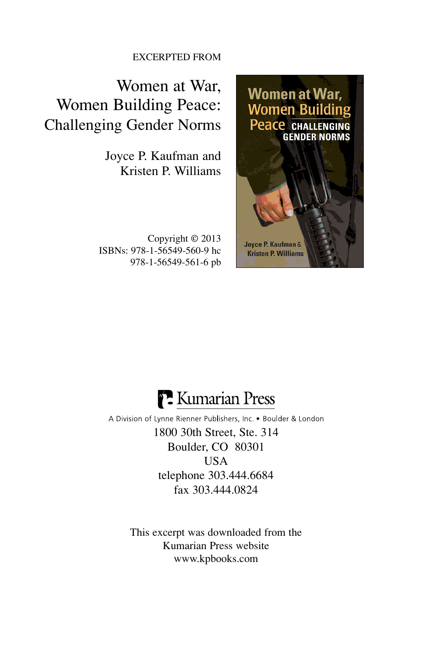EXCERPTED FROM

Women at War, Women Building Peace: Challenging Gender Norms

> Joyce P. Kaufman and Kristen P. Williams

Copyright © 2013 ISBNs: 978-1-56549-560-9 hc 978-1-56549-561-6 pb



## <sup>8</sup>. Kumarian Press

A Division of Lynne Rienner Publishers, Inc. . Boulder & London 1800 30th Street, Ste. 314 Boulder, CO 80301 **USA** telephone 303.444.6684 fax 303.444.0824

> This excerpt was downloaded from the Kumarian Press website www.kpbooks.com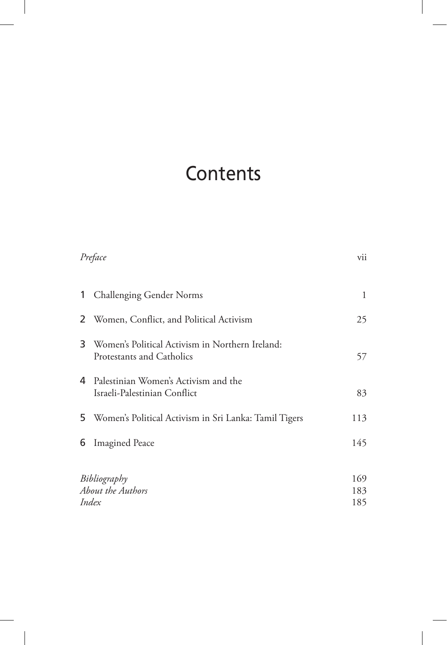# **Contents**

|                                            | Preface                                                                      | vii               |
|--------------------------------------------|------------------------------------------------------------------------------|-------------------|
| 1                                          | <b>Challenging Gender Norms</b>                                              | 1                 |
|                                            | 2 Women, Conflict, and Political Activism                                    | 25                |
| 3.                                         | Women's Political Activism in Northern Ireland:<br>Protestants and Catholics | 57                |
| 4                                          | Palestinian Women's Activism and the<br>Israeli-Palestinian Conflict         | 83                |
|                                            | 5 Women's Political Activism in Sri Lanka: Tamil Tigers                      | 113               |
| 6                                          | <b>Imagined Peace</b>                                                        | 145               |
| Bibliography<br>About the Authors<br>Index |                                                                              | 169<br>183<br>185 |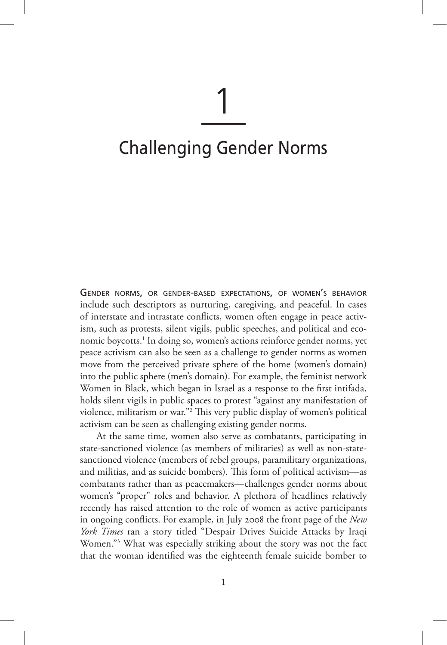1

## Challenging Gender Norms

Gender norms, or gender-based expectations, of women's behavior include such descriptors as nurturing, caregiving, and peaceful. In cases of interstate and intrastate conflicts, women often engage in peace activism, such as protests, silent vigils, public speeches, and political and economic boycotts.<sup>1</sup> In doing so, women's actions reinforce gender norms, yet peace activism can also be seen as a challenge to gender norms as women move from the perceived private sphere of the home (women's domain) into the public sphere (men's domain). For example, the feminist network Women in Black, which began in Israel as a response to the first intifada, holds silent vigils in public spaces to protest "against any manifestation of violence, militarism or war."<sup>2</sup> This very public display of women's political activism can be seen as challenging existing gender norms.

At the same time, women also serve as combatants, participating in state-sanctioned violence (as members of militaries) as well as non-statesanctioned violence (members of rebel groups, paramilitary organizations, and militias, and as suicide bombers). This form of political activism—as combatants rather than as peacemakers—challenges gender norms about women's "proper" roles and behavior. A plethora of headlines relatively recently has raised attention to the role of women as active participants in ongoing conflicts. For example, in July 2008 the front page of the *New York Times* ran a story titled "Despair Drives Suicide Attacks by Iraqi Women."<sup>3</sup> What was especially striking about the story was not the fact that the woman identified was the eighteenth female suicide bomber to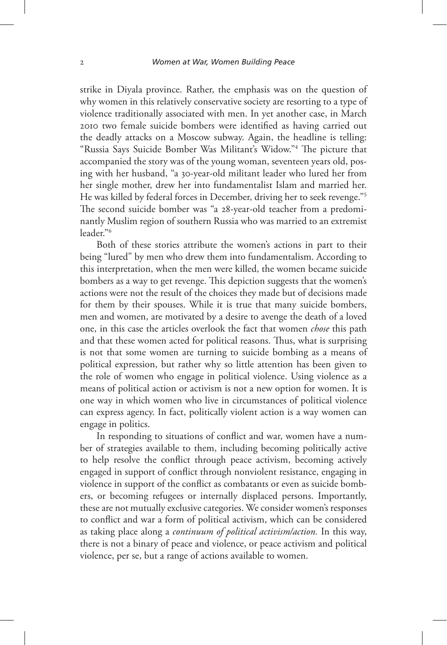strike in Diyala province. Rather, the emphasis was on the question of why women in this relatively conservative society are resorting to a type of violence traditionally associated with men. In yet another case, in March 2010 two female suicide bombers were identified as having carried out the deadly attacks on a Moscow subway. Again, the headline is telling: "Russia Says Suicide Bomber Was Militant's Widow."<sup>4</sup> The picture that accompanied the story was of the young woman, seventeen years old, posing with her husband, "a 30-year-old militant leader who lured her from her single mother, drew her into fundamentalist Islam and married her. He was killed by federal forces in December, driving her to seek revenge."<sup>5</sup> The second suicide bomber was "a 28-year-old teacher from a predominantly Muslim region of southern Russia who was married to an extremist leader."<sup>6</sup>

Both of these stories attribute the women's actions in part to their being "lured" by men who drew them into fundamentalism. According to this interpretation, when the men were killed, the women became suicide bombers as a way to get revenge. This depiction suggests that the women's actions were not the result of the choices they made but of decisions made for them by their spouses. While it is true that many suicide bombers, men and women, are motivated by a desire to avenge the death of a loved one, in this case the articles overlook the fact that women *chose* this path and that these women acted for political reasons. Thus, what is surprising is not that some women are turning to suicide bombing as a means of political expression, but rather why so little attention has been given to the role of women who engage in political violence. Using violence as a means of political action or activism is not a new option for women. It is one way in which women who live in circumstances of political violence can express agency. In fact, politically violent action is a way women can engage in politics.

In responding to situations of conflict and war, women have a number of strategies available to them, including becoming politically active to help resolve the conflict through peace activism, becoming actively engaged in support of conflict through nonviolent resistance, engaging in violence in support of the conflict as combatants or even as suicide bombers, or becoming refugees or internally displaced persons. Importantly, these are not mutually exclusive categories. We consider women's responses to conflict and war a form of political activism, which can be considered as taking place along a *continuum of political activism/action.* In this way, there is not a binary of peace and violence, or peace activism and political violence, per se, but a range of actions available to women.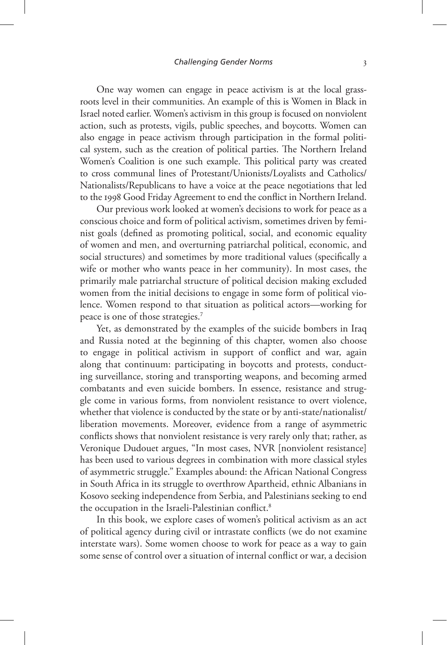One way women can engage in peace activism is at the local grassroots level in their communities. An example of this is Women in Black in Israel noted earlier. Women's activism in this group is focused on nonviolent action, such as protests, vigils, public speeches, and boycotts. Women can also engage in peace activism through participation in the formal political system, such as the creation of political parties. The Northern Ireland Women's Coalition is one such example. This political party was created to cross communal lines of Protestant/Unionists/Loyalists and Catholics/ Nationalists/Republicans to have a voice at the peace negotiations that led to the 1998 Good Friday Agreement to end the conflict in Northern Ireland.

Our previous work looked at women's decisions to work for peace as a conscious choice and form of political activism, sometimes driven by feminist goals (defined as promoting political, social, and economic equality of women and men, and overturning patriarchal political, economic, and social structures) and sometimes by more traditional values (specifically a wife or mother who wants peace in her community). In most cases, the primarily male patriarchal structure of political decision making excluded women from the initial decisions to engage in some form of political violence. Women respond to that situation as political actors—working for peace is one of those strategies.<sup>7</sup>

Yet, as demonstrated by the examples of the suicide bombers in Iraq and Russia noted at the beginning of this chapter, women also choose to engage in political activism in support of conflict and war, again along that continuum: participating in boycotts and protests, conducting surveillance, storing and transporting weapons, and becoming armed combatants and even suicide bombers. In essence, resistance and struggle come in various forms, from nonviolent resistance to overt violence, whether that violence is conducted by the state or by anti-state/nationalist/ liberation movements. Moreover, evidence from a range of asymmetric conflicts shows that nonviolent resistance is very rarely only that; rather, as Veronique Dudouet argues, "In most cases, NVR [nonviolent resistance] has been used to various degrees in combination with more classical styles of asymmetric struggle." Examples abound: the African National Congress in South Africa in its struggle to overthrow Apartheid, ethnic Albanians in Kosovo seeking independence from Serbia, and Palestinians seeking to end the occupation in the Israeli-Palestinian conflict.<sup>8</sup>

In this book, we explore cases of women's political activism as an act of political agency during civil or intrastate conflicts (we do not examine interstate wars). Some women choose to work for peace as a way to gain some sense of control over a situation of internal conflict or war, a decision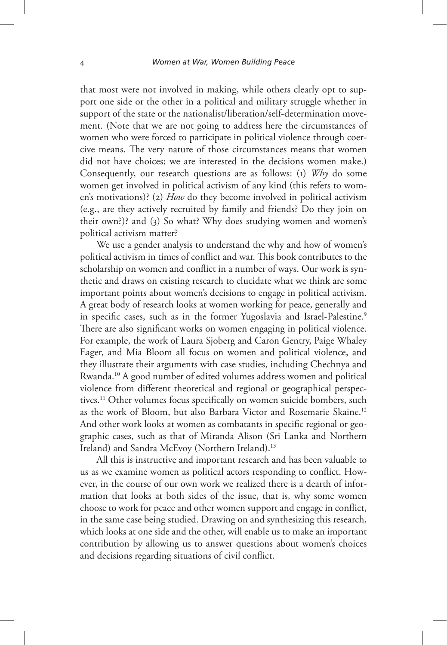that most were not involved in making, while others clearly opt to support one side or the other in a political and military struggle whether in support of the state or the nationalist/liberation/self-determination movement. (Note that we are not going to address here the circumstances of women who were forced to participate in political violence through coercive means. The very nature of those circumstances means that women did not have choices; we are interested in the decisions women make.) Consequently, our research questions are as follows: (1) *Why* do some women get involved in political activism of any kind (this refers to women's motivations)? (2) *How* do they become involved in political activism (e.g., are they actively recruited by family and friends? Do they join on their own?)? and (3) So what? Why does studying women and women's political activism matter?

We use a gender analysis to understand the why and how of women's political activism in times of conflict and war. This book contributes to the scholarship on women and conflict in a number of ways. Our work is synthetic and draws on existing research to elucidate what we think are some important points about women's decisions to engage in political activism. A great body of research looks at women working for peace, generally and in specific cases, such as in the former Yugoslavia and Israel-Palestine.<sup>9</sup> There are also significant works on women engaging in political violence. For example, the work of Laura Sjoberg and Caron Gentry, Paige Whaley Eager, and Mia Bloom all focus on women and political violence, and they illustrate their arguments with case studies, including Chechnya and Rwanda.<sup>10</sup> A good number of edited volumes address women and political violence from different theoretical and regional or geographical perspectives.<sup>11</sup> Other volumes focus specifically on women suicide bombers, such as the work of Bloom, but also Barbara Victor and Rosemarie Skaine.<sup>12</sup> And other work looks at women as combatants in specific regional or geographic cases, such as that of Miranda Alison (Sri Lanka and Northern Ireland) and Sandra McEvoy (Northern Ireland).<sup>13</sup>

All this is instructive and important research and has been valuable to us as we examine women as political actors responding to conflict. However, in the course of our own work we realized there is a dearth of information that looks at both sides of the issue, that is, why some women choose to work for peace and other women support and engage in conflict, in the same case being studied. Drawing on and synthesizing this research, which looks at one side and the other, will enable us to make an important contribution by allowing us to answer questions about women's choices and decisions regarding situations of civil conflict.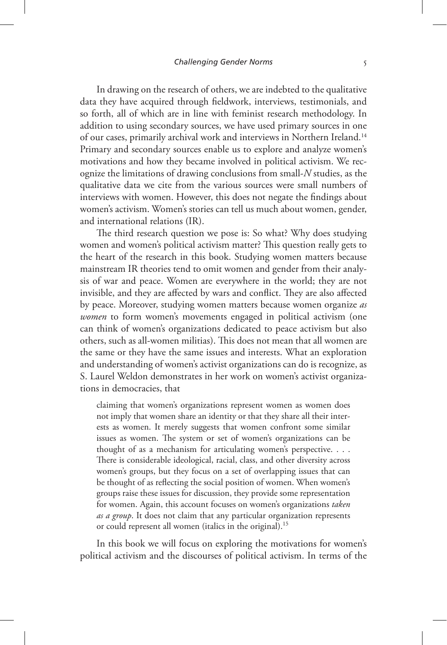In drawing on the research of others, we are indebted to the qualitative data they have acquired through fieldwork, interviews, testimonials, and so forth, all of which are in line with feminist research methodology. In addition to using secondary sources, we have used primary sources in one of our cases, primarily archival work and interviews in Northern Ireland.<sup>14</sup> Primary and secondary sources enable us to explore and analyze women's motivations and how they became involved in political activism. We recognize the limitations of drawing conclusions from small-*N* studies, as the qualitative data we cite from the various sources were small numbers of interviews with women. However, this does not negate the findings about women's activism. Women's stories can tell us much about women, gender, and international relations (IR).

The third research question we pose is: So what? Why does studying women and women's political activism matter? This question really gets to the heart of the research in this book. Studying women matters because mainstream IR theories tend to omit women and gender from their analysis of war and peace. Women are everywhere in the world; they are not invisible, and they are affected by wars and conflict. They are also affected by peace. Moreover, studying women matters because women organize *as women* to form women's movements engaged in political activism (one can think of women's organizations dedicated to peace activism but also others, such as all-women militias). This does not mean that all women are the same or they have the same issues and interests. What an exploration and understanding of women's activist organizations can do is recognize, as S. Laurel Weldon demonstrates in her work on women's activist organizations in democracies, that

claiming that women's organizations represent women as women does not imply that women share an identity or that they share all their interests as women. It merely suggests that women confront some similar issues as women. The system or set of women's organizations can be thought of as a mechanism for articulating women's perspective. . . . There is considerable ideological, racial, class, and other diversity across women's groups, but they focus on a set of overlapping issues that can be thought of as reflecting the social position of women. When women's groups raise these issues for discussion, they provide some representation for women. Again, this account focuses on women's organizations *taken as a group*. It does not claim that any particular organization represents or could represent all women (italics in the original).<sup>15</sup>

In this book we will focus on exploring the motivations for women's political activism and the discourses of political activism. In terms of the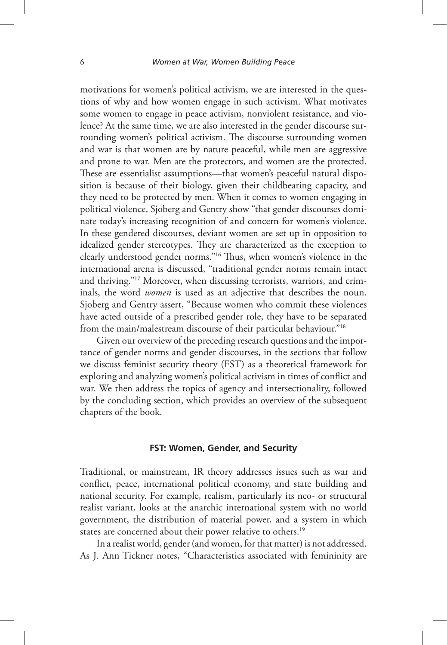motivations for women's political activism, we are interested in the questions of why and how women engage in such activism. What motivates some women to engage in peace activism, nonviolent resistance, and violence? At the same time, we are also interested in the gender discourse surrounding women's political activism. The discourse surrounding women and war is that women are by nature peaceful, while men are aggressive and prone to war. Men are the protectors, and women are the protected. These are essentialist assumptions—that women's peaceful natural disposition is because of their biology, given their childbearing capacity, and they need to be protected by men. When it comes to women engaging in political violence, Sjoberg and Gentry show "that gender discourses dominate today's increasing recognition of and concern for women's violence. In these gendered discourses, deviant women are set up in opposition to idealized gender stereotypes. They are characterized as the exception to clearly understood gender norms."<sup>16</sup> Thus, when women's violence in the international arena is discussed, "traditional gender norms remain intact and thriving."17 Moreover, when discussing terrorists, warriors, and criminals, the word *women* is used as an adjective that describes the noun. Sjoberg and Gentry assert, "Because women who commit these violences have acted outside of a prescribed gender role, they have to be separated from the main/malestream discourse of their particular behaviour."<sup>18</sup>

Given our overview of the preceding research questions and the importance of gender norms and gender discourses, in the sections that follow we discuss feminist security theory (FST) as a theoretical framework for exploring and analyzing women's political activism in times of conflict and war. We then address the topics of agency and intersectionality, followed by the concluding section, which provides an overview of the subsequent chapters of the book.

#### **FST: Women, Gender, and Security**

Traditional, or mainstream, IR theory addresses issues such as war and conflict, peace, international political economy, and state building and national security. For example, realism, particularly its neo- or structural realist variant, looks at the anarchic international system with no world government, the distribution of material power, and a system in which states are concerned about their power relative to others.<sup>19</sup>

In a realist world, gender (and women, for that matter) is not addressed. As J. Ann Tickner notes, "Characteristics associated with femininity are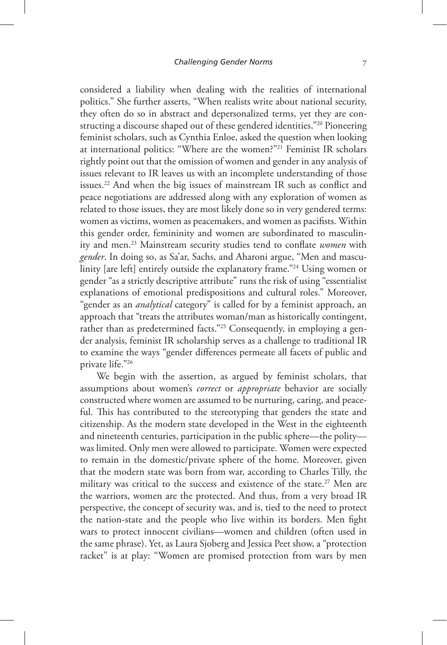considered a liability when dealing with the realities of international politics." She further asserts, "When realists write about national security, they often do so in abstract and depersonalized terms, yet they are constructing a discourse shaped out of these gendered identities."<sup>20</sup> Pioneering feminist scholars, such as Cynthia Enloe, asked the question when looking at international politics: "Where are the women?"<sup>21</sup> Feminist IR scholars rightly point out that the omission of women and gender in any analysis of issues relevant to IR leaves us with an incomplete understanding of those issues.<sup>22</sup> And when the big issues of mainstream IR such as conflict and peace negotiations are addressed along with any exploration of women as related to those issues, they are most likely done so in very gendered terms: women as victims, women as peacemakers, and women as pacifists. Within this gender order, femininity and women are subordinated to masculinity and men.<sup>23</sup> Mainstream security studies tend to conflate *women* with *gender*. In doing so, as Sa'ar, Sachs, and Aharoni argue, "Men and masculinity [are left] entirely outside the explanatory frame."<sup>24</sup> Using women or gender "as a strictly descriptive attribute" runs the risk of using "essentialist explanations of emotional predispositions and cultural roles." Moreover, "gender as an *analytical* category" is called for by a feminist approach, an approach that "treats the attributes woman/man as historically contingent, rather than as predetermined facts."<sup>25</sup> Consequently, in employing a gender analysis, feminist IR scholarship serves as a challenge to traditional IR to examine the ways "gender differences permeate all facets of public and private life."<sup>26</sup>

We begin with the assertion, as argued by feminist scholars, that assumptions about women's *correct* or *appropriate* behavior are socially constructed where women are assumed to be nurturing, caring, and peaceful. This has contributed to the stereotyping that genders the state and citizenship. As the modern state developed in the West in the eighteenth and nineteenth centuries, participation in the public sphere—the polity was limited. Only men were allowed to participate. Women were expected to remain in the domestic/private sphere of the home. Moreover, given that the modern state was born from war, according to Charles Tilly, the military was critical to the success and existence of the state.<sup>27</sup> Men are the warriors, women are the protected. And thus, from a very broad IR perspective, the concept of security was, and is, tied to the need to protect the nation-state and the people who live within its borders. Men fight wars to protect innocent civilians—women and children (often used in the same phrase). Yet, as Laura Sjoberg and Jessica Peet show, a "protection racket" is at play: "Women are promised protection from wars by men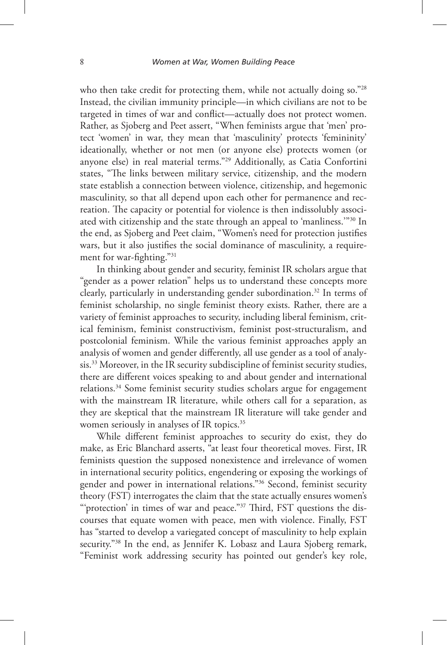who then take credit for protecting them, while not actually doing so."28 Instead, the civilian immunity principle—in which civilians are not to be targeted in times of war and conflict—actually does not protect women. Rather, as Sjoberg and Peet assert, "When feminists argue that 'men' protect 'women' in war, they mean that 'masculinity' protects 'femininity' ideationally, whether or not men (or anyone else) protects women (or anyone else) in real material terms."<sup>29</sup> Additionally, as Catia Confortini states, "The links between military service, citizenship, and the modern state establish a connection between violence, citizenship, and hegemonic masculinity, so that all depend upon each other for permanence and recreation. The capacity or potential for violence is then indissolubly associated with citizenship and the state through an appeal to 'manliness.'"<sup>30</sup> In the end, as Sjoberg and Peet claim, "Women's need for protection justifies wars, but it also justifies the social dominance of masculinity, a requirement for war-fighting."<sup>31</sup>

In thinking about gender and security, feminist IR scholars argue that "gender as a power relation" helps us to understand these concepts more clearly, particularly in understanding gender subordination.<sup>32</sup> In terms of feminist scholarship, no single feminist theory exists. Rather, there are a variety of feminist approaches to security, including liberal feminism, critical feminism, feminist constructivism, feminist post-structuralism, and postcolonial feminism. While the various feminist approaches apply an analysis of women and gender differently, all use gender as a tool of analysis.<sup>33</sup> Moreover, in the IR security subdiscipline of feminist security studies, there are different voices speaking to and about gender and international relations.<sup>34</sup> Some feminist security studies scholars argue for engagement with the mainstream IR literature, while others call for a separation, as they are skeptical that the mainstream IR literature will take gender and women seriously in analyses of IR topics.<sup>35</sup>

While different feminist approaches to security do exist, they do make, as Eric Blanchard asserts, "at least four theoretical moves. First, IR feminists question the supposed nonexistence and irrelevance of women in international security politics, engendering or exposing the workings of gender and power in international relations."<sup>36</sup> Second, feminist security theory (FST) interrogates the claim that the state actually ensures women's "'protection' in times of war and peace."<sup>37</sup> Third, FST questions the discourses that equate women with peace, men with violence. Finally, FST has "started to develop a variegated concept of masculinity to help explain security."<sup>38</sup> In the end, as Jennifer K. Lobasz and Laura Sjoberg remark, "Feminist work addressing security has pointed out gender's key role,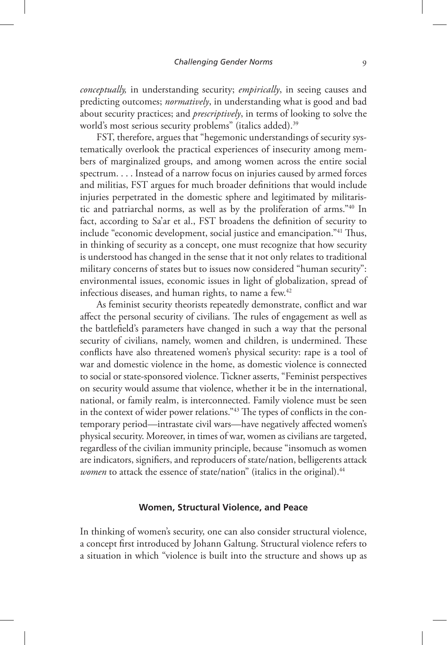*conceptually,* in understanding security; *empirically*, in seeing causes and predicting outcomes; *normatively*, in understanding what is good and bad about security practices; and *prescriptively*, in terms of looking to solve the world's most serious security problems" (italics added).<sup>39</sup>

FST, therefore, argues that "hegemonic understandings of security systematically overlook the practical experiences of insecurity among members of marginalized groups, and among women across the entire social spectrum. . . . Instead of a narrow focus on injuries caused by armed forces and militias, FST argues for much broader definitions that would include injuries perpetrated in the domestic sphere and legitimated by militaristic and patriarchal norms, as well as by the proliferation of arms."<sup>40</sup> In fact, according to Sa'ar et al., FST broadens the definition of security to include "economic development, social justice and emancipation."<sup>41</sup> Thus, in thinking of security as a concept, one must recognize that how security is understood has changed in the sense that it not only relates to traditional military concerns of states but to issues now considered "human security": environmental issues, economic issues in light of globalization, spread of infectious diseases, and human rights, to name a few.<sup>42</sup>

As feminist security theorists repeatedly demonstrate, conflict and war affect the personal security of civilians. The rules of engagement as well as the battlefield's parameters have changed in such a way that the personal security of civilians, namely, women and children, is undermined. These conflicts have also threatened women's physical security: rape is a tool of war and domestic violence in the home, as domestic violence is connected to social or state-sponsored violence. Tickner asserts, "Feminist perspectives on security would assume that violence, whether it be in the international, national, or family realm, is interconnected. Family violence must be seen in the context of wider power relations."43 The types of conflicts in the contemporary period—intrastate civil wars—have negatively affected women's physical security. Moreover, in times of war, women as civilians are targeted, regardless of the civilian immunity principle, because "insomuch as women are indicators, signifiers, and reproducers of state/nation, belligerents attack *women* to attack the essence of state/nation" (italics in the original).<sup>44</sup>

#### **Women, Structural Violence, and Peace**

In thinking of women's security, one can also consider structural violence, a concept first introduced by Johann Galtung. Structural violence refers to a situation in which "violence is built into the structure and shows up as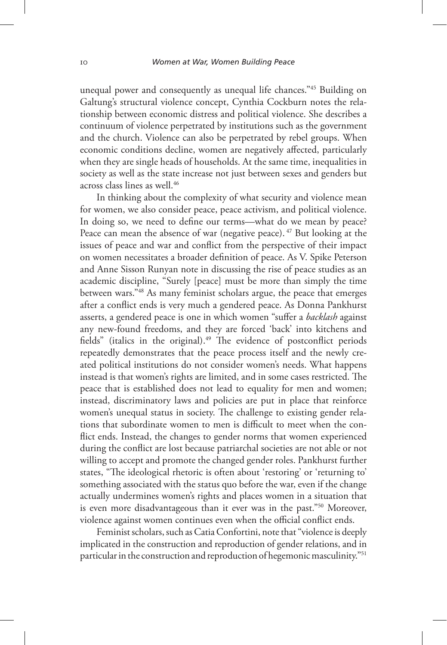unequal power and consequently as unequal life chances."<sup>45</sup> Building on Galtung's structural violence concept, Cynthia Cockburn notes the relationship between economic distress and political violence. She describes a continuum of violence perpetrated by institutions such as the government and the church. Violence can also be perpetrated by rebel groups. When economic conditions decline, women are negatively affected, particularly when they are single heads of households. At the same time, inequalities in society as well as the state increase not just between sexes and genders but across class lines as well.<sup>46</sup>

In thinking about the complexity of what security and violence mean for women, we also consider peace, peace activism, and political violence. In doing so, we need to define our terms—what do we mean by peace? Peace can mean the absence of war (negative peace). $47$  But looking at the issues of peace and war and conflict from the perspective of their impact on women necessitates a broader definition of peace. As V. Spike Peterson and Anne Sisson Runyan note in discussing the rise of peace studies as an academic discipline, "Surely [peace] must be more than simply the time between wars."<sup>48</sup> As many feminist scholars argue, the peace that emerges after a conflict ends is very much a gendered peace. As Donna Pankhurst asserts, a gendered peace is one in which women "suffer a *backlash* against any new-found freedoms, and they are forced 'back' into kitchens and fields" (italics in the original).<sup>49</sup> The evidence of postconflict periods repeatedly demonstrates that the peace process itself and the newly created political institutions do not consider women's needs. What happens instead is that women's rights are limited, and in some cases restricted. The peace that is established does not lead to equality for men and women; instead, discriminatory laws and policies are put in place that reinforce women's unequal status in society. The challenge to existing gender relations that subordinate women to men is difficult to meet when the conflict ends. Instead, the changes to gender norms that women experienced during the conflict are lost because patriarchal societies are not able or not willing to accept and promote the changed gender roles. Pankhurst further states, "The ideological rhetoric is often about 'restoring' or 'returning to' something associated with the status quo before the war, even if the change actually undermines women's rights and places women in a situation that is even more disadvantageous than it ever was in the past."<sup>50</sup> Moreover, violence against women continues even when the official conflict ends.

Feminist scholars, such as Catia Confortini, note that "violence is deeply implicated in the construction and reproduction of gender relations, and in particular in the construction and reproduction of hegemonic masculinity."<sup>51</sup>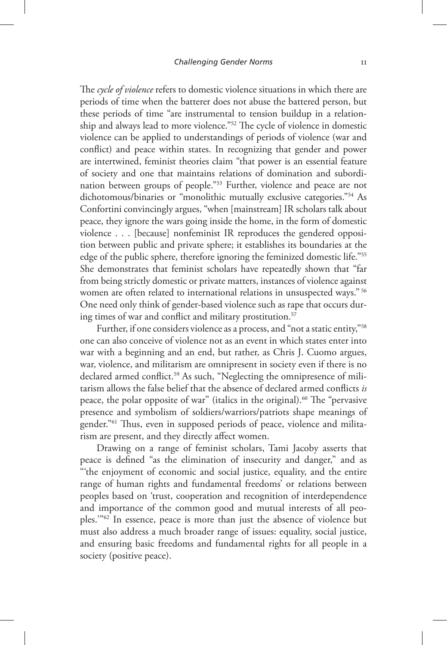The *cycle of violence* refers to domestic violence situations in which there are periods of time when the batterer does not abuse the battered person, but these periods of time "are instrumental to tension buildup in a relationship and always lead to more violence."<sup>52</sup> The cycle of violence in domestic violence can be applied to understandings of periods of violence (war and conflict) and peace within states. In recognizing that gender and power are intertwined, feminist theories claim "that power is an essential feature of society and one that maintains relations of domination and subordination between groups of people."<sup>53</sup> Further, violence and peace are not dichotomous/binaries or "monolithic mutually exclusive categories."<sup>54</sup> As Confortini convincingly argues, "when [mainstream] IR scholars talk about peace, they ignore the wars going inside the home, in the form of domestic violence . . . [because] nonfeminist IR reproduces the gendered opposition between public and private sphere; it establishes its boundaries at the edge of the public sphere, therefore ignoring the feminized domestic life."<sup>55</sup> She demonstrates that feminist scholars have repeatedly shown that "far from being strictly domestic or private matters, instances of violence against women are often related to international relations in unsuspected ways." <sup>56</sup> One need only think of gender-based violence such as rape that occurs during times of war and conflict and military prostitution.<sup>57</sup>

Further, if one considers violence as a process, and "not a static entity,"<sup>58</sup> one can also conceive of violence not as an event in which states enter into war with a beginning and an end, but rather, as Chris J. Cuomo argues, war, violence, and militarism are omnipresent in society even if there is no declared armed conflict.<sup>59</sup> As such, "Neglecting the omnipresence of militarism allows the false belief that the absence of declared armed conflicts *is* peace, the polar opposite of war" (italics in the original).<sup>60</sup> The "pervasive presence and symbolism of soldiers/warriors/patriots shape meanings of gender."61 Thus, even in supposed periods of peace, violence and militarism are present, and they directly affect women.

Drawing on a range of feminist scholars, Tami Jacoby asserts that peace is defined "as the elimination of insecurity and danger," and as "'the enjoyment of economic and social justice, equality, and the entire range of human rights and fundamental freedoms' or relations between peoples based on 'trust, cooperation and recognition of interdependence and importance of the common good and mutual interests of all peoples.'"<sup>62</sup> In essence, peace is more than just the absence of violence but must also address a much broader range of issues: equality, social justice, and ensuring basic freedoms and fundamental rights for all people in a society (positive peace).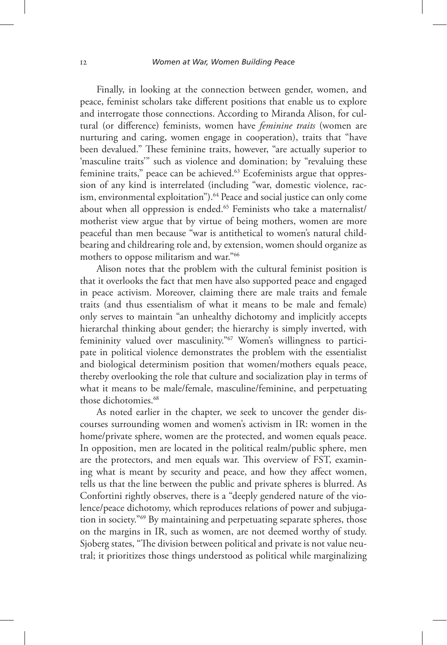Finally, in looking at the connection between gender, women, and peace, feminist scholars take different positions that enable us to explore and interrogate those connections. According to Miranda Alison, for cultural (or difference) feminists, women have *feminine traits* (women are nurturing and caring, women engage in cooperation), traits that "have been devalued." These feminine traits, however, "are actually superior to 'masculine traits'" such as violence and domination; by "revaluing these feminine traits," peace can be achieved.<sup>63</sup> Ecofeminists argue that oppression of any kind is interrelated (including "war, domestic violence, racism, environmental exploitation").<sup>64</sup> Peace and social justice can only come about when all oppression is ended.<sup>65</sup> Feminists who take a maternalist/ motherist view argue that by virtue of being mothers, women are more peaceful than men because "war is antithetical to women's natural childbearing and childrearing role and, by extension, women should organize as mothers to oppose militarism and war."<sup>66</sup>

Alison notes that the problem with the cultural feminist position is that it overlooks the fact that men have also supported peace and engaged in peace activism. Moreover, claiming there are male traits and female traits (and thus essentialism of what it means to be male and female) only serves to maintain "an unhealthy dichotomy and implicitly accepts hierarchal thinking about gender; the hierarchy is simply inverted, with femininity valued over masculinity."<sup>67</sup> Women's willingness to participate in political violence demonstrates the problem with the essentialist and biological determinism position that women/mothers equals peace, thereby overlooking the role that culture and socialization play in terms of what it means to be male/female, masculine/feminine, and perpetuating those dichotomies<sup>68</sup>

As noted earlier in the chapter, we seek to uncover the gender discourses surrounding women and women's activism in IR: women in the home/private sphere, women are the protected, and women equals peace. In opposition, men are located in the political realm/public sphere, men are the protectors, and men equals war. This overview of FST, examining what is meant by security and peace, and how they affect women, tells us that the line between the public and private spheres is blurred. As Confortini rightly observes, there is a "deeply gendered nature of the violence/peace dichotomy, which reproduces relations of power and subjugation in society."<sup>69</sup> By maintaining and perpetuating separate spheres, those on the margins in IR, such as women, are not deemed worthy of study. Sjoberg states, "The division between political and private is not value neutral; it prioritizes those things understood as political while marginalizing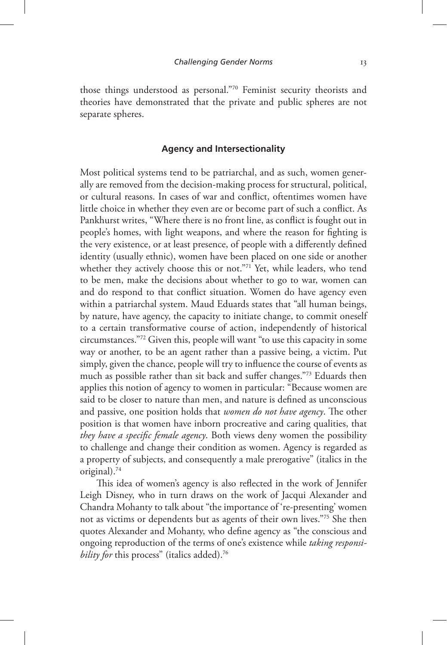those things understood as personal."<sup>70</sup> Feminist security theorists and theories have demonstrated that the private and public spheres are not separate spheres.

### **Agency and Intersectionality**

Most political systems tend to be patriarchal, and as such, women generally are removed from the decision-making process for structural, political, or cultural reasons. In cases of war and conflict, oftentimes women have little choice in whether they even are or become part of such a conflict. As Pankhurst writes, "Where there is no front line, as conflict is fought out in people's homes, with light weapons, and where the reason for fighting is the very existence, or at least presence, of people with a differently defined identity (usually ethnic), women have been placed on one side or another whether they actively choose this or not."71 Yet, while leaders, who tend to be men, make the decisions about whether to go to war, women can and do respond to that conflict situation. Women do have agency even within a patriarchal system. Maud Eduards states that "all human beings, by nature, have agency, the capacity to initiate change, to commit oneself to a certain transformative course of action, independently of historical circumstances."<sup>72</sup> Given this, people will want "to use this capacity in some way or another, to be an agent rather than a passive being, a victim. Put simply, given the chance, people will try to influence the course of events as much as possible rather than sit back and suffer changes."<sup>73</sup> Eduards then applies this notion of agency to women in particular: "Because women are said to be closer to nature than men, and nature is defined as unconscious and passive, one position holds that *women do not have agency*. The other position is that women have inborn procreative and caring qualities, that *they have a specific female agency*. Both views deny women the possibility to challenge and change their condition as women. Agency is regarded as a property of subjects, and consequently a male prerogative" (italics in the original).<sup>74</sup>

This idea of women's agency is also reflected in the work of Jennifer Leigh Disney, who in turn draws on the work of Jacqui Alexander and Chandra Mohanty to talk about "the importance of 're-presenting' women not as victims or dependents but as agents of their own lives."<sup>75</sup> She then quotes Alexander and Mohanty, who define agency as "the conscious and ongoing reproduction of the terms of one's existence while *taking responsi*bility for this process" (italics added).<sup>76</sup>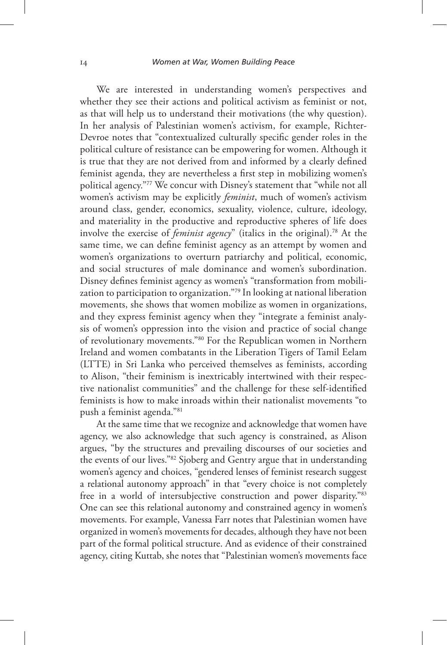We are interested in understanding women's perspectives and whether they see their actions and political activism as feminist or not, as that will help us to understand their motivations (the why question). In her analysis of Palestinian women's activism, for example, Richter-Devroe notes that "contextualized culturally specific gender roles in the political culture of resistance can be empowering for women. Although it is true that they are not derived from and informed by a clearly defined feminist agenda, they are nevertheless a first step in mobilizing women's political agency."<sup>77</sup> We concur with Disney's statement that "while not all women's activism may be explicitly *feminist*, much of women's activism around class, gender, economics, sexuality, violence, culture, ideology, and materiality in the productive and reproductive spheres of life does involve the exercise of *feminist agency*" (italics in the original).<sup>78</sup> At the same time, we can define feminist agency as an attempt by women and women's organizations to overturn patriarchy and political, economic, and social structures of male dominance and women's subordination. Disney defines feminist agency as women's "transformation from mobilization to participation to organization."<sup>79</sup> In looking at national liberation movements, she shows that women mobilize as women in organizations, and they express feminist agency when they "integrate a feminist analysis of women's oppression into the vision and practice of social change of revolutionary movements."<sup>80</sup> For the Republican women in Northern Ireland and women combatants in the Liberation Tigers of Tamil Eelam (LTTE) in Sri Lanka who perceived themselves as feminists, according to Alison, "their feminism is inextricably intertwined with their respective nationalist communities" and the challenge for these self-identified feminists is how to make inroads within their nationalist movements "to push a feminist agenda."<sup>81</sup>

At the same time that we recognize and acknowledge that women have agency, we also acknowledge that such agency is constrained, as Alison argues, "by the structures and prevailing discourses of our societies and the events of our lives."<sup>82</sup> Sjoberg and Gentry argue that in understanding women's agency and choices, "gendered lenses of feminist research suggest a relational autonomy approach" in that "every choice is not completely free in a world of intersubjective construction and power disparity."<sup>83</sup> One can see this relational autonomy and constrained agency in women's movements. For example, Vanessa Farr notes that Palestinian women have organized in women's movements for decades, although they have not been part of the formal political structure. And as evidence of their constrained agency, citing Kuttab, she notes that "Palestinian women's movements face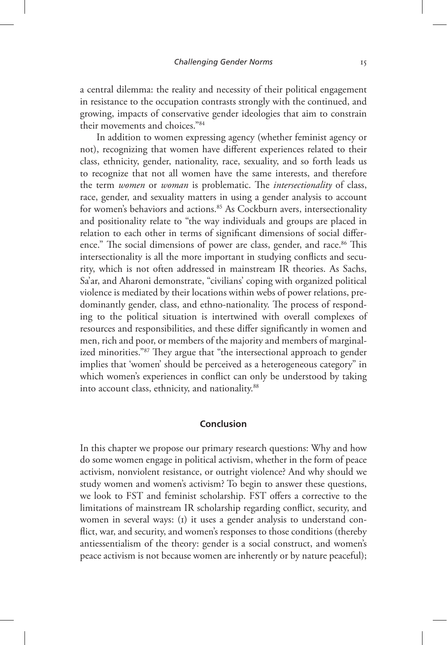a central dilemma: the reality and necessity of their political engagement in resistance to the occupation contrasts strongly with the continued, and growing, impacts of conservative gender ideologies that aim to constrain their movements and choices."<sup>84</sup>

In addition to women expressing agency (whether feminist agency or not), recognizing that women have different experiences related to their class, ethnicity, gender, nationality, race, sexuality, and so forth leads us to recognize that not all women have the same interests, and therefore the term *women* or *woman* is problematic. The *intersectionality* of class, race, gender, and sexuality matters in using a gender analysis to account for women's behaviors and actions.<sup>85</sup> As Cockburn avers, intersectionality and positionality relate to "the way individuals and groups are placed in relation to each other in terms of significant dimensions of social difference." The social dimensions of power are class, gender, and race.<sup>86</sup> This intersectionality is all the more important in studying conflicts and security, which is not often addressed in mainstream IR theories. As Sachs, Sa'ar, and Aharoni demonstrate, "civilians' coping with organized political violence is mediated by their locations within webs of power relations, predominantly gender, class, and ethno-nationality. The process of responding to the political situation is intertwined with overall complexes of resources and responsibilities, and these differ significantly in women and men, rich and poor, or members of the majority and members of marginalized minorities."<sup>87</sup> They argue that "the intersectional approach to gender implies that 'women' should be perceived as a heterogeneous category" in which women's experiences in conflict can only be understood by taking into account class, ethnicity, and nationality.<sup>88</sup>

#### **Conclusion**

In this chapter we propose our primary research questions: Why and how do some women engage in political activism, whether in the form of peace activism, nonviolent resistance, or outright violence? And why should we study women and women's activism? To begin to answer these questions, we look to FST and feminist scholarship. FST offers a corrective to the limitations of mainstream IR scholarship regarding conflict, security, and women in several ways: (1) it uses a gender analysis to understand conflict, war, and security, and women's responses to those conditions (thereby antiessentialism of the theory: gender is a social construct, and women's peace activism is not because women are inherently or by nature peaceful);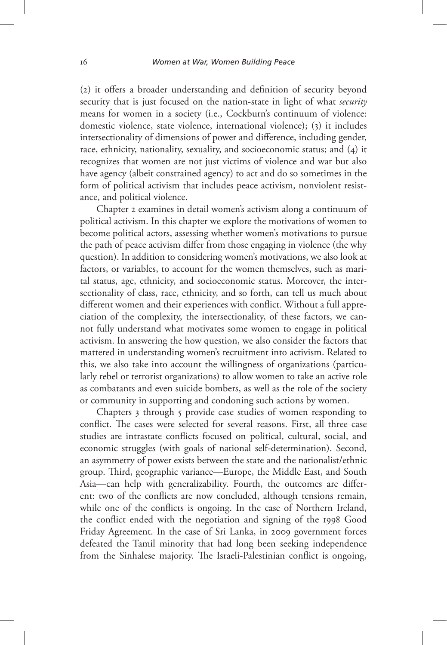(2) it offers a broader understanding and definition of security beyond security that is just focused on the nation-state in light of what *security* means for women in a society (i.e., Cockburn's continuum of violence: domestic violence, state violence, international violence); (3) it includes intersectionality of dimensions of power and difference, including gender, race, ethnicity, nationality, sexuality, and socioeconomic status; and (4) it recognizes that women are not just victims of violence and war but also have agency (albeit constrained agency) to act and do so sometimes in the form of political activism that includes peace activism, nonviolent resistance, and political violence.

Chapter 2 examines in detail women's activism along a continuum of political activism. In this chapter we explore the motivations of women to become political actors, assessing whether women's motivations to pursue the path of peace activism differ from those engaging in violence (the why question). In addition to considering women's motivations, we also look at factors, or variables, to account for the women themselves, such as marital status, age, ethnicity, and socioeconomic status. Moreover, the intersectionality of class, race, ethnicity, and so forth, can tell us much about different women and their experiences with conflict. Without a full appreciation of the complexity, the intersectionality, of these factors, we cannot fully understand what motivates some women to engage in political activism. In answering the how question, we also consider the factors that mattered in understanding women's recruitment into activism. Related to this, we also take into account the willingness of organizations (particularly rebel or terrorist organizations) to allow women to take an active role as combatants and even suicide bombers, as well as the role of the society or community in supporting and condoning such actions by women.

Chapters 3 through 5 provide case studies of women responding to conflict. The cases were selected for several reasons. First, all three case studies are intrastate conflicts focused on political, cultural, social, and economic struggles (with goals of national self-determination). Second, an asymmetry of power exists between the state and the nationalist/ethnic group. Third, geographic variance—Europe, the Middle East, and South Asia—can help with generalizability. Fourth, the outcomes are different: two of the conflicts are now concluded, although tensions remain, while one of the conflicts is ongoing. In the case of Northern Ireland, the conflict ended with the negotiation and signing of the 1998 Good Friday Agreement. In the case of Sri Lanka, in 2009 government forces defeated the Tamil minority that had long been seeking independence from the Sinhalese majority. The Israeli-Palestinian conflict is ongoing,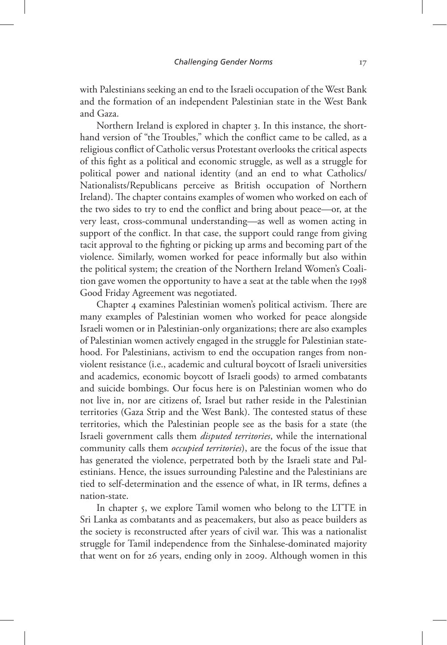with Palestinians seeking an end to the Israeli occupation of the West Bank and the formation of an independent Palestinian state in the West Bank and Gaza.

Northern Ireland is explored in chapter 3. In this instance, the shorthand version of "the Troubles," which the conflict came to be called, as a religious conflict of Catholic versus Protestant overlooks the critical aspects of this fight as a political and economic struggle, as well as a struggle for political power and national identity (and an end to what Catholics/ Nationalists/Republicans perceive as British occupation of Northern Ireland). The chapter contains examples of women who worked on each of the two sides to try to end the conflict and bring about peace—or, at the very least, cross-communal understanding—as well as women acting in support of the conflict. In that case, the support could range from giving tacit approval to the fighting or picking up arms and becoming part of the violence. Similarly, women worked for peace informally but also within the political system; the creation of the Northern Ireland Women's Coalition gave women the opportunity to have a seat at the table when the 1998 Good Friday Agreement was negotiated.

Chapter 4 examines Palestinian women's political activism. There are many examples of Palestinian women who worked for peace alongside Israeli women or in Palestinian-only organizations; there are also examples of Palestinian women actively engaged in the struggle for Palestinian statehood. For Palestinians, activism to end the occupation ranges from nonviolent resistance (i.e., academic and cultural boycott of Israeli universities and academics, economic boycott of Israeli goods) to armed combatants and suicide bombings. Our focus here is on Palestinian women who do not live in, nor are citizens of, Israel but rather reside in the Palestinian territories (Gaza Strip and the West Bank). The contested status of these territories, which the Palestinian people see as the basis for a state (the Israeli government calls them *disputed territories*, while the international community calls them *occupied territories*), are the focus of the issue that has generated the violence, perpetrated both by the Israeli state and Palestinians. Hence, the issues surrounding Palestine and the Palestinians are tied to self-determination and the essence of what, in IR terms, defines a nation-state.

In chapter 5, we explore Tamil women who belong to the LTTE in Sri Lanka as combatants and as peacemakers, but also as peace builders as the society is reconstructed after years of civil war. This was a nationalist struggle for Tamil independence from the Sinhalese-dominated majority that went on for 26 years, ending only in 2009. Although women in this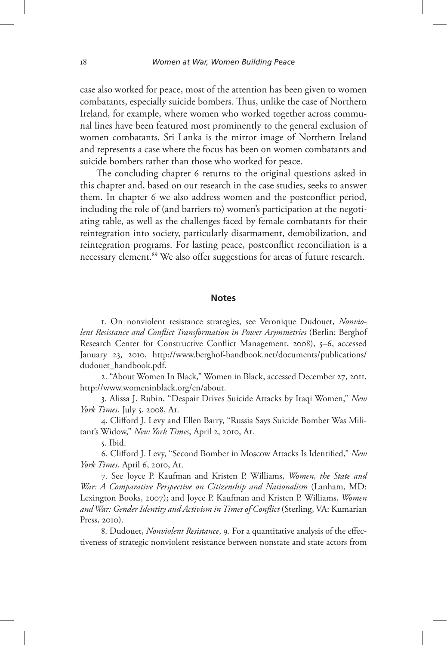case also worked for peace, most of the attention has been given to women combatants, especially suicide bombers. Thus, unlike the case of Northern Ireland, for example, where women who worked together across communal lines have been featured most prominently to the general exclusion of women combatants, Sri Lanka is the mirror image of Northern Ireland and represents a case where the focus has been on women combatants and suicide bombers rather than those who worked for peace.

The concluding chapter 6 returns to the original questions asked in this chapter and, based on our research in the case studies, seeks to answer them. In chapter 6 we also address women and the postconflict period, including the role of (and barriers to) women's participation at the negotiating table, as well as the challenges faced by female combatants for their reintegration into society, particularly disarmament, demobilization, and reintegration programs. For lasting peace, postconflict reconciliation is a necessary element.<sup>89</sup> We also offer suggestions for areas of future research.

#### **Notes**

1. On nonviolent resistance strategies, see Veronique Dudouet, *Nonviolent Resistance and Conflict Transformation in Power Asymmetries* (Berlin: Berghof Research Center for Constructive Conflict Management, 2008), 5–6, accessed January 23, 2010, http://www.berghof-handbook.net/documents/publications/ dudouet\_handbook.pdf.

2. "About Women In Black," Women in Black, accessed December 27, 2011, http://www.womeninblack.org/en/about.

3. Alissa J. Rubin, "Despair Drives Suicide Attacks by Iraqi Women," *New York Times*, July 5, 2008, A1.

4. Clifford J. Levy and Ellen Barry, "Russia Says Suicide Bomber Was Militant's Widow," *New York Times*, April 2, 2010, A1.

5. Ibid.

6. Clifford J. Levy, "Second Bomber in Moscow Attacks Is Identified," *New York Times*, April 6, 2010, A1.

7. See Joyce P. Kaufman and Kristen P. Williams, *Women, the State and War: A Comparative Perspective on Citizenship and Nationalism* (Lanham, MD: Lexington Books, 2007); and Joyce P. Kaufman and Kristen P. Williams, *Women and War: Gender Identity and Activism in Times of Conflict* (Sterling, VA: Kumarian Press, 2010).

8. Dudouet, *Nonviolent Resistance*, 9. For a quantitative analysis of the effectiveness of strategic nonviolent resistance between nonstate and state actors from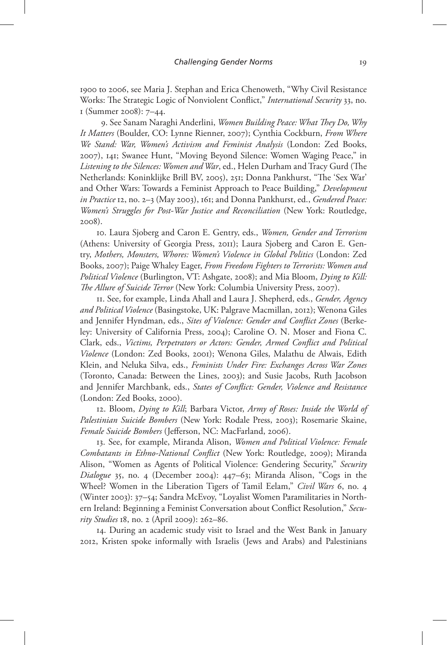1900 to 2006, see Maria J. Stephan and Erica Chenoweth, "Why Civil Resistance Works: The Strategic Logic of Nonviolent Conflict," *International Security* 33, no. 1 (Summer 2008): 7–44.

9. See Sanam Naraghi Anderlini, *Women Building Peace: What They Do, Why It Matters* (Boulder, CO: Lynne Rienner, 2007); Cynthia Cockburn, *From Where We Stand: War, Women's Activism and Feminist Analysis* (London: Zed Books, 2007), 141; Swanee Hunt, "Moving Beyond Silence: Women Waging Peace," in *Listening to the Silences: Women and War*, ed., Helen Durham and Tracy Gurd (The Netherlands: Koninklijke Brill BV, 2005), 251; Donna Pankhurst, "The 'Sex War' and Other Wars: Towards a Feminist Approach to Peace Building," *Development in Practice* 12, no. 2–3 (May 2003), 161; and Donna Pankhurst, ed., *Gendered Peace: Women's Struggles for Post-War Justice and Reconciliation* (New York: Routledge, 2008).

10. Laura Sjoberg and Caron E. Gentry, eds., *Women, Gender and Terrorism* (Athens: University of Georgia Press, 2011); Laura Sjoberg and Caron E. Gentry, *Mothers, Monsters, Whores: Women's Violence in Global Politics* (London: Zed Books, 2007); Paige Whaley Eager, *From Freedom Fighters to Terrorists: Women and Political Violence* (Burlington, VT: Ashgate, 2008); and Mia Bloom, *Dying to Kill: The Allure of Suicide Terror* (New York: Columbia University Press, 2007).

11. See, for example, Linda Ahall and Laura J. Shepherd, eds., *Gender, Agency and Political Violence* (Basingstoke, UK: Palgrave Macmillan, 2012); Wenona Giles and Jennifer Hyndman, eds., *Sites of Violence: Gender and Conflict Zones* (Berkeley: University of California Press, 2004); Caroline O. N. Moser and Fiona C. Clark, eds., *Victims, Perpetrators or Actors: Gender, Armed Conflict and Political Violence* (London: Zed Books, 2001); Wenona Giles, Malathu de Alwais, Edith Klein, and Neluka Silva, eds., *Feminists Under Fire: Exchanges Across War Zones*  (Toronto, Canada: Between the Lines, 2003); and Susie Jacobs, Ruth Jacobson and Jennifer Marchbank, eds., *States of Conflict: Gender, Violence and Resistance* (London: Zed Books, 2000).

12. Bloom, *Dying to Kill*; Barbara Victor, *Army of Roses: Inside the World of Palestinian Suicide Bombers* (New York: Rodale Press, 2003); Rosemarie Skaine, *Female Suicide Bombers* (Jefferson, NC: MacFarland, 2006).

13. See, for example, Miranda Alison, *Women and Political Violence: Female Combatants in Ethno-National Conflict* (New York: Routledge, 2009); Miranda Alison, "Women as Agents of Political Violence: Gendering Security," *Security Dialogue* 35, no. 4 (December 2004): 447–63; Miranda Alison, "Cogs in the Wheel? Women in the Liberation Tigers of Tamil Eelam," *Civil Wars* 6, no. 4 (Winter 2003): 37–54; Sandra McEvoy, "Loyalist Women Paramilitaries in Northern Ireland: Beginning a Feminist Conversation about Conflict Resolution," *Security Studies* 18, no. 2 (April 2009): 262–86.

14. During an academic study visit to Israel and the West Bank in January 2012, Kristen spoke informally with Israelis (Jews and Arabs) and Palestinians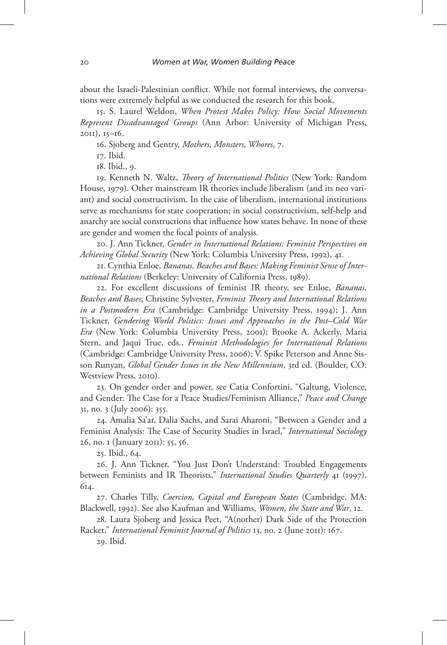about the Israeli-Palestinian conflict. While not formal interviews, the conversations were extremely helpful as we conducted the research for this book.

15. S. Laurel Weldon, *When Protest Makes Policy: How Social Movements Represent Disadvantaged Groups* (Ann Arbor: University of Michigan Press, 2011), 15–16.

16. Sjoberg and Gentry, *Mothers, Monsters, Whores*, 7.

17. Ibid.

18. Ibid., 9.

19. Kenneth N. Waltz, *Theory of International Politics* (New York: Random House, 1979). Other mainstream IR theories include liberalism (and its neo variant) and social constructivism. In the case of liberalism, international institutions serve as mechanisms for state cooperation; in social constructivism, self-help and anarchy are social constructions that influence how states behave. In none of these are gender and women the focal points of analysis.

20. J. Ann Tickner, *Gender in International Relations: Feminist Perspectives on Achieving Global Security* (New York: Columbia University Press, 1992), 41.

21. Cynthia Enloe, *Bananas, Beaches and Bases: Making Feminist Sense of International Relations* (Berkeley: University of California Press, 1989).

22. For excellent discussions of feminist IR theory, see Enloe, *Bananas, Beaches and Bases*; Christine Sylvester, *Feminist Theory and International Relations in a Postmodern Era* (Cambridge: Cambridge University Press, 1994); J. Ann Tickner, *Gendering World Politics: Issues and Approaches in the Post–Cold War Era* (New York: Columbia University Press, 2001); Brooke A. Ackerly, Maria Stern, and Jaqui True, eds., *Feminist Methodologies for International Relations* (Cambridge: Cambridge University Press, 2006); V. Spike Peterson and Anne Sisson Runyan, *Global Gender Issues in the New Millennium*, 3rd ed. (Boulder, CO: Westview Press, 2010).

23. On gender order and power, see Catia Confortini, "Galtung, Violence, and Gender: The Case for a Peace Studies/Feminism Alliance," *Peace and Change* 31, no. 3 (July 2006): 355.

24. Amalia Sa'ar, Dalia Sachs, and Sarai Aharoni, "Between a Gender and a Feminist Analysis: The Case of Security Studies in Israel," *International Sociology* 26, no. 1 (January 2011): 55, 56.

25. Ibid., 64.

26. J. Ann Tickner, "You Just Don't Understand: Troubled Engagements between Feminists and IR Theorists," *International Studies Quarterly* 41 (1997), 614.

27. Charles Tilly, *Coercion, Capital and European States* (Cambridge, MA: Blackwell, 1992). See also Kaufman and Williams, *Women, the State and War*, 12.

28. Laura Sjoberg and Jessica Peet, "A(nother) Dark Side of the Protection Racket," *International Feminist Journal of Politics* 13, no. 2 (June 2011): 167.

29. Ibid.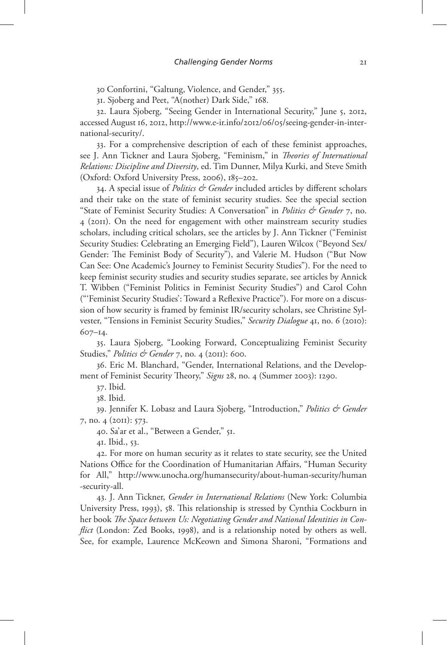30 Confortini, "Galtung, Violence, and Gender," 355.

31. Sjoberg and Peet, "A(nother) Dark Side," 168.

32. Laura Sjoberg, "Seeing Gender in International Security," June 5, 2012, accessed August 16, 2012, http://www.e-ir.info/2012/06/05/seeing-gender-in-international-security/.

33. For a comprehensive description of each of these feminist approaches, see J. Ann Tickner and Laura Sjoberg, "Feminism," in *Theories of International Relations: Discipline and Diversity*, ed. Tim Dunner, Milya Kurki, and Steve Smith (Oxford: Oxford University Press, 2006), 185-202.

34. A special issue of *Politics & Gender* included articles by different scholars and their take on the state of feminist security studies. See the special section "State of Feminist Security Studies: A Conversation" in *Politics & Gender* 7, no. 4 (2011). On the need for engagement with other mainstream security studies scholars, including critical scholars, see the articles by J. Ann Tickner ("Feminist Security Studies: Celebrating an Emerging Field"), Lauren Wilcox ("Beyond Sex/ Gender: The Feminist Body of Security"), and Valerie M. Hudson ("But Now Can See: One Academic's Journey to Feminist Security Studies"). For the need to keep feminist security studies and security studies separate, see articles by Annick T. Wibben ("Feminist Politics in Feminist Security Studies") and Carol Cohn ("'Feminist Security Studies': Toward a Reflexive Practice"). For more on a discussion of how security is framed by feminist IR/security scholars, see Christine Sylvester, "Tensions in Feminist Security Studies," *Security Dialogue* 41, no. 6 (2010): 607–14.

35. Laura Sjoberg, "Looking Forward, Conceptualizing Feminist Security Studies," *Politics & Gender* 7, no. 4 (2011): 600.

36. Eric M. Blanchard, "Gender, International Relations, and the Development of Feminist Security Theory," *Signs* 28, no. 4 (Summer 2003): 1290.

37. Ibid.

38. Ibid.

39. Jennifer K. Lobasz and Laura Sjoberg, "Introduction," *Politics & Gender* 7, no. 4 (2011): 573.

40. Sa'ar et al., "Between a Gender," 51.

41. Ibid., 53.

42. For more on human security as it relates to state security, see the United Nations Office for the Coordination of Humanitarian Affairs, "Human Security for All," http://www.unocha.org/humansecurity/about-human-security/human -security-all.

43. J. Ann Tickner, *Gender in International Relations* (New York: Columbia University Press, 1993), 58. This relationship is stressed by Cynthia Cockburn in her book *The Space between Us: Negotiating Gender and National Identities in Conflict* (London: Zed Books, 1998), and is a relationship noted by others as well. See, for example, Laurence McKeown and Simona Sharoni, "Formations and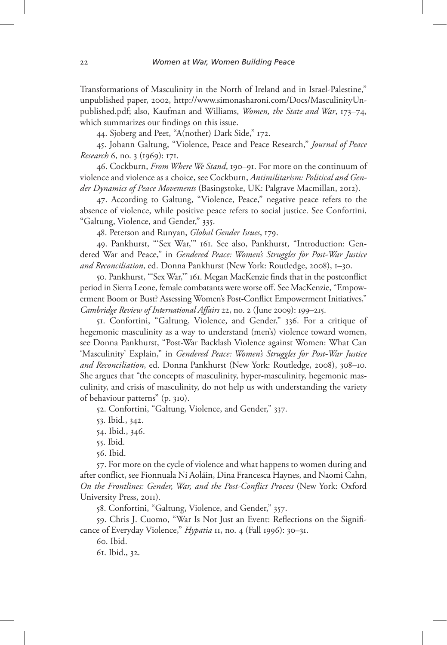Transformations of Masculinity in the North of Ireland and in Israel-Palestine," unpublished paper, 2002, http://www.simonasharoni.com/Docs/MasculinityUnpublished.pdf; also, Kaufman and Williams, *Women, the State and War*, 173–74, which summarizes our findings on this issue.

44. Sjoberg and Peet, "A(nother) Dark Side," 172.

45. Johann Galtung, "Violence, Peace and Peace Research," *Journal of Peace Research* 6, no. 3 (1969): 171.

46. Cockburn, *From Where We Stand*, 190–91. For more on the continuum of violence and violence as a choice, see Cockburn, *Antimilitarism: Political and Gender Dynamics of Peace Movements* (Basingstoke, UK: Palgrave Macmillan, 2012).

47. According to Galtung, "Violence, Peace," negative peace refers to the absence of violence, while positive peace refers to social justice. See Confortini, "Galtung, Violence, and Gender," 335.

48. Peterson and Runyan, *Global Gender Issues*, 179.

49. Pankhurst, "'Sex War,'" 161. See also, Pankhurst, "Introduction: Gendered War and Peace," in *Gendered Peace: Women's Struggles for Post-War Justice and Reconciliation*, ed. Donna Pankhurst (New York: Routledge, 2008), 1–30.

50. Pankhurst, "'Sex War,'" 161. Megan MacKenzie finds that in the postconflict period in Sierra Leone, female combatants were worse off. See MacKenzie, "Empowerment Boom or Bust? Assessing Women's Post-Conflict Empowerment Initiatives," *Cambridge Review of International Affairs* 22, no. 2 (June 2009): 199–215.

51. Confortini, "Galtung, Violence, and Gender," 336. For a critique of hegemonic masculinity as a way to understand (men's) violence toward women, see Donna Pankhurst, "Post-War Backlash Violence against Women: What Can 'Masculinity' Explain," in *Gendered Peace: Women's Struggles for Post-War Justice and Reconciliation*, ed. Donna Pankhurst (New York: Routledge, 2008), 308–10. She argues that "the concepts of masculinity, hyper-masculinity, hegemonic masculinity, and crisis of masculinity, do not help us with understanding the variety of behaviour patterns" (p. 310).

52. Confortini, "Galtung, Violence, and Gender," 337.

53. Ibid., 342.

54. Ibid., 346.

55. Ibid.

56. Ibid.

57. For more on the cycle of violence and what happens to women during and after conflict, see Fionnuala Ní Aoláin, Dina Francesca Haynes, and Naomi Cahn, *On the Frontlines: Gender, War, and the Post-Conflict Process* (New York: Oxford University Press, 2011).

58. Confortini, "Galtung, Violence, and Gender," 357.

59. Chris J. Cuomo, "War Is Not Just an Event: Reflections on the Significance of Everyday Violence," *Hypatia* 11, no. 4 (Fall 1996): 30–31.

60. Ibid.

61. Ibid., 32.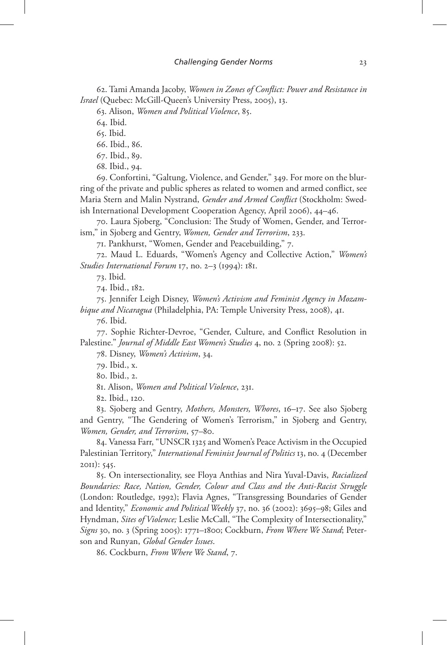62. Tami Amanda Jacoby, *Women in Zones of Conflict: Power and Resistance in Israel* (Quebec: McGill-Queen's University Press, 2005), 13.

63. Alison, *Women and Political Violence*, 85.

64. Ibid.

65. Ibid.

66. Ibid., 86.

67. Ibid., 89.

68. Ibid., 94.

69. Confortini, "Galtung, Violence, and Gender," 349. For more on the blurring of the private and public spheres as related to women and armed conflict, see Maria Stern and Malin Nystrand, *Gender and Armed Conflict* (Stockholm: Swedish International Development Cooperation Agency, April 2006), 44–46.

70. Laura Sjoberg, "Conclusion: The Study of Women, Gender, and Terrorism," in Sjoberg and Gentry, *Women, Gender and Terrorism*, 233.

71. Pankhurst, "Women, Gender and Peacebuilding," 7.

72. Maud L. Eduards, "Women's Agency and Collective Action," *Women's Studies International Forum* 17, no. 2–3 (1994): 181.

73. Ibid.

74. Ibid., 182.

75. Jennifer Leigh Disney, *Women's Activism and Feminist Agency in Mozambique and Nicaragua* (Philadelphia, PA: Temple University Press, 2008), 41.

76. Ibid.

77. Sophie Richter-Devroe, "Gender, Culture, and Conflict Resolution in Palestine." *Journal of Middle East Women's Studies* 4, no. 2 (Spring 2008): 52.

78. Disney, *Women's Activism*, 34.

79. Ibid., x.

80. Ibid., 2.

81. Alison, *Women and Political Violence*, 231.

82. Ibid., 120.

83. Sjoberg and Gentry, *Mothers, Monsters, Whores*, 16–17. See also Sjoberg and Gentry, "The Gendering of Women's Terrorism," in Sjoberg and Gentry, *Women, Gender, and Terrorism*, 57–80.

84. Vanessa Farr, "UNSCR 1325 and Women's Peace Activism in the Occupied Palestinian Territory," *International Feminist Journal of Politics* 13, no. 4 (December 2011): 545.

85. On intersectionality, see Floya Anthias and Nira Yuval-Davis, *Racialized Boundaries: Race, Nation, Gender, Colour and Class and the Anti-Racist Struggle* (London: Routledge, 1992); Flavia Agnes, "Transgressing Boundaries of Gender and Identity," *Economic and Political Weekly* 37, no. 36 (2002): 3695–98; Giles and Hyndman, *Sites of Violence;* Leslie McCall, "The Complexity of Intersectionality," *Signs* 30, no. 3 (Spring 2005): 1771–1800; Cockburn, *From Where We Stand*; Peterson and Runyan, *Global Gender Issues*.

86. Cockburn, *From Where We Stand*, 7.